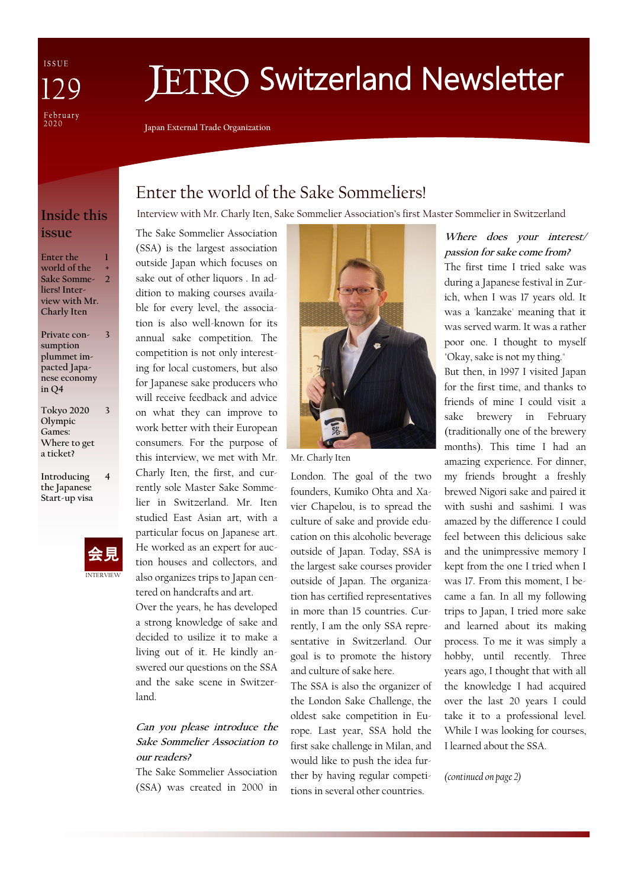ISSUE February<br>2020

# **ETRO Switzerland Newsletter**

Interview with Mr. Charly Iten, Sake Sommelier Association's first Master Sommelier in Switzerland

**Japan External Trade Organization**

The Sake Sommelier Association

Enter the world of the Sake Sommeliers!

## **Inside this issue**

**Enter the world of the Sake Sommeliers! Interview with Mr. Charly Iten 1 + 2**

**Private consumption plummet impacted Japanese economy in Q4**

**3**

**3**

**Tokyo 2020 Olympic Games: Where to get a ticket?** 

**Introducing the Japanese Start-up visa 4**



(SSA) is the largest association outside Japan which focuses on sake out of other liquors . In addition to making courses available for every level, the association is also well-known for its annual sake competition. The competition is not only interesting for local customers, but also for Japanese sake producers who will receive feedback and advice on what they can improve to work better with their European consumers. For the purpose of this interview, we met with Mr. Charly Iten, the first, and currently sole Master Sake Sommelier in Switzerland. Mr. Iten studied East Asian art, with a

particular focus on Japanese art. He worked as an expert for auction houses and collectors, and also organizes trips to Japan centered on handcrafts and art. Over the years, he has developed

a strong knowledge of sake and decided to usilize it to make a living out of it. He kindly answered our questions on the SSA and the sake scene in Switzerland.

#### **Can you please introduce the Sake Sommelier Association to our readers?**

The Sake Sommelier Association (SSA) was created in 2000 in



Mr. Charly Iten

London. The goal of the two founders, Kumiko Ohta and Xavier Chapelou, is to spread the culture of sake and provide education on this alcoholic beverage outside of Japan. Today, SSA is the largest sake courses provider outside of Japan. The organization has certified representatives in more than 15 countries. Currently, I am the only SSA representative in Switzerland. Our goal is to promote the history and culture of sake here.

The SSA is also the organizer of the London Sake Challenge, the oldest sake competition in Europe. Last year, SSA hold the first sake challenge in Milan, and would like to push the idea further by having regular competitions in several other countries.

### **Where does your interest/ passion for sake come from?**

The first time I tried sake was during a Japanese festival in Zurich, when I was 17 years old. It was a 'kanzake' meaning that it was served warm. It was a rather poor one. I thought to myself "Okay, sake is not my thing."

But then, in 1997 I visited Japan for the first time, and thanks to friends of mine I could visit a sake brewery in February (traditionally one of the brewery months). This time I had an amazing experience. For dinner, my friends brought a freshly brewed Nigori sake and paired it with sushi and sashimi. I was amazed by the difference I could feel between this delicious sake and the unimpressive memory I kept from the one I tried when I was 17. From this moment, I became a fan. In all my following trips to Japan, I tried more sake and learned about its making process. To me it was simply a hobby, until recently. Three years ago, I thought that with all the knowledge I had acquired over the last 20 years I could take it to a professional level. While I was looking for courses, I learned about the SSA.

*(continued on page 2)*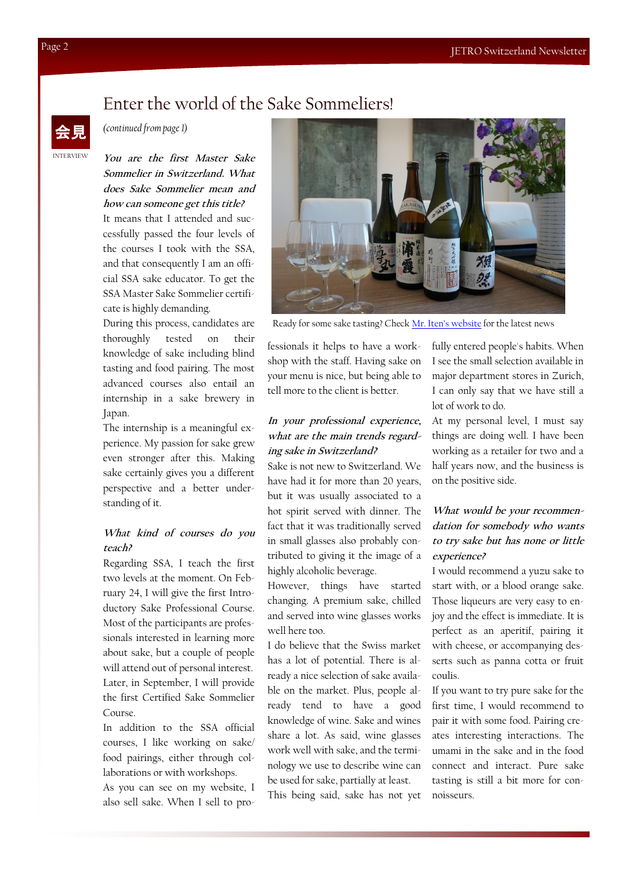## Enter the world of the Sake Sommeliers!



*(continued from page 1)* 

**You are the first Master Sake Sommelier in Switzerland. What does Sake Sommelier mean and how can someone get this title?**

It means that I attended and successfully passed the four levels of the courses I took with the SSA, and that consequently I am an official SSA sake educator. To get the SSA Master Sake Sommelier certificate is highly demanding.

During this process, candidates are thoroughly tested on their knowledge of sake including blind tasting and food pairing. The most advanced courses also entail an internship in a sake brewery in Japan.

The internship is a meaningful experience. My passion for sake grew even stronger after this. Making sake certainly gives you a different perspective and a better understanding of it.

#### **What kind of courses do you teach?**

Regarding SSA, I teach the first two levels at the moment. On February 24, I will give the first Introductory Sake Professional Course. Most of the participants are professionals interested in learning more about sake, but a couple of people will attend out of personal interest. Later, in September, I will provide the first Certified Sake Sommelier Course.

In addition to the SSA official courses, I like working on sake/ food pairings, either through collaborations or with workshops.

As you can see on my website, I also sell sake. When I sell to pro-



Ready for some sake tasting? Check [Mr. Iten's website](https://www.ci-artaffairs.ch/en) for the latest news

fessionals it helps to have a workshop with the staff. Having sake on your menu is nice, but being able to tell more to the client is better.

#### **In your professional experience, what are the main trends regarding sake in Switzerland?**

Sake is not new to Switzerland. We have had it for more than 20 years, but it was usually associated to a hot spirit served with dinner. The fact that it was traditionally served in small glasses also probably contributed to giving it the image of a highly alcoholic beverage.

However, things have started changing. A premium sake, chilled and served into wine glasses works well here too.

I do believe that the Swiss market has a lot of potential. There is already a nice selection of sake available on the market. Plus, people already tend to have a good knowledge of wine. Sake and wines share a lot. As said, wine glasses work well with sake, and the terminology we use to describe wine can be used for sake, partially at least. This being said, sake has not yet

fully entered people's habits. When I see the small selection available in major department stores in Zurich, I can only say that we have still a lot of work to do.

At my personal level, I must say things are doing well. I have been working as a retailer for two and a half years now, and the business is on the positive side.

#### **What would be your recommendation for somebody who wants to try sake but has none or little experience?**

I would recommend a yuzu sake to start with, or a blood orange sake. Those liqueurs are very easy to enjoy and the effect is immediate. It is perfect as an aperitif, pairing it with cheese, or accompanying desserts such as panna cotta or fruit coulis.

If you want to try pure sake for the first time, I would recommend to pair it with some food. Pairing creates interesting interactions. The umami in the sake and in the food connect and interact. Pure sake tasting is still a bit more for connoisseurs.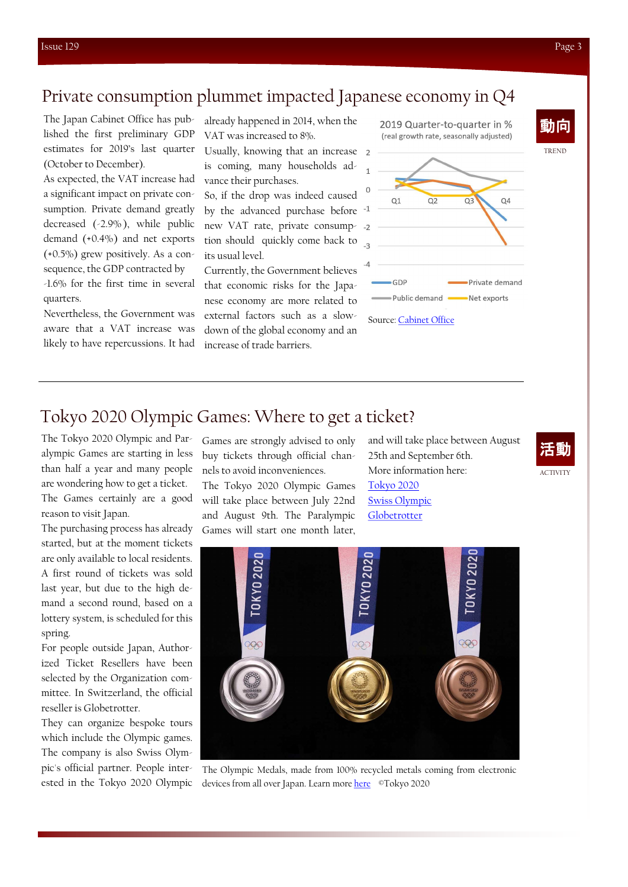## Private consumption plummet impacted Japanese economy in Q4

The Japan Cabinet Office has published the first preliminary GDP estimates for 2019's last quarter (October to December).

As expected, the VAT increase had a significant impact on private consumption. Private demand greatly decreased (-2.9% ), while public demand (+0.4%) and net exports  $(+0.5\%)$  grew positively. As a consequence, the GDP contracted by -1.6% for the first time in several quarters.

Nevertheless, the Government was aware that a VAT increase was likely to have repercussions. It had

already happened in 2014, when the VAT was increased to 8%.

Usually, knowing that an increase is coming, many households advance their purchases.

So, if the drop was indeed caused by the advanced purchase before <sup>-1</sup> new VAT rate, private consumption should quickly come back to its usual level.

Currently, the Government believes that economic risks for the Japanese economy are more related to external factors such as a slowdown of the global economy and an increase of trade barriers.



2019 Quarter-to-quarter in %

## Tokyo 2020 Olympic Games: Where to get a ticket?

The Tokyo 2020 Olympic and Paralympic Games are starting in less than half a year and many people are wondering how to get a ticket. The Games certainly are a good reason to visit Japan.

The purchasing process has already started, but at the moment tickets are only available to local residents. A first round of tickets was sold last year, but due to the high demand a second round, based on a lottery system, is scheduled for this spring.

For people outside Japan, Authorized Ticket Resellers have been selected by the Organization committee. In Switzerland, the official reseller is Globetrotter.

They can organize bespoke tours which include the Olympic games. The company is also Swiss Olympic's official partner. People interested in the Tokyo 2020 Olympic Games are strongly advised to only buy tickets through official channels to avoid inconveniences.

The Tokyo 2020 Olympic Games will take place between July 22nd and August 9th. The Paralympic Games will start one month later, and will take place between August 25th and September 6th. More information here: [Tokyo 2020](https://tokyo2020.org/en/) [Swiss Olympic](https://www.swissolympicteam.ch/fr/olympische-missionen/olympische-spiele/tokyo2020.html) [Globetrotter](https://www.globetrotter.ch/de/846/Olympia%2B2020%2Bin%2BTokyo/Reisen.htm)





The Olympic Medals, made from 100% recycled metals coming from electronic devices from all over Japan. Learn more [here](https://tokyo2020.org/en/games/medals/) ©Tokyo 2020

TREND

動向